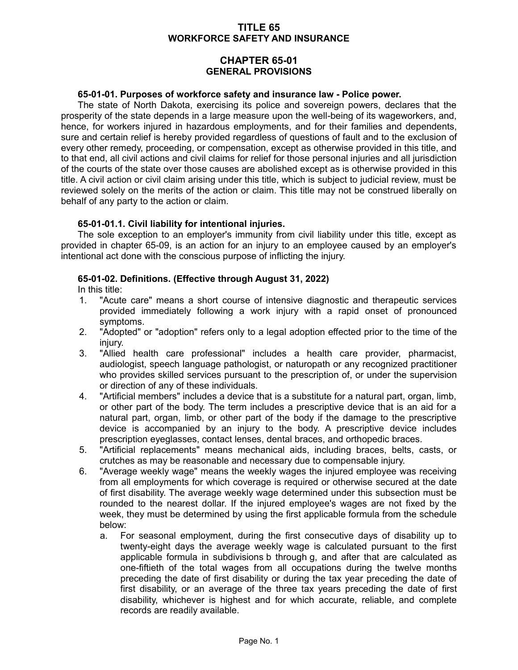## **TITLE 65 WORKFORCE SAFETY AND INSURANCE**

# **CHAPTER 65-01 GENERAL PROVISIONS**

#### **65-01-01. Purposes of workforce safety and insurance law - Police power.**

The state of North Dakota, exercising its police and sovereign powers, declares that the prosperity of the state depends in a large measure upon the well-being of its wageworkers, and, hence, for workers injured in hazardous employments, and for their families and dependents, sure and certain relief is hereby provided regardless of questions of fault and to the exclusion of every other remedy, proceeding, or compensation, except as otherwise provided in this title, and to that end, all civil actions and civil claims for relief for those personal injuries and all jurisdiction of the courts of the state over those causes are abolished except as is otherwise provided in this title. A civil action or civil claim arising under this title, which is subject to judicial review, must be reviewed solely on the merits of the action or claim. This title may not be construed liberally on behalf of any party to the action or claim.

### **65-01-01.1. Civil liability for intentional injuries.**

The sole exception to an employer's immunity from civil liability under this title, except as provided in chapter 65-09, is an action for an injury to an employee caused by an employer's intentional act done with the conscious purpose of inflicting the injury.

### **65-01-02. Definitions. (Effective through August 31, 2022)**

In this title:

- 1. "Acute care" means a short course of intensive diagnostic and therapeutic services provided immediately following a work injury with a rapid onset of pronounced symptoms.
- 2. "Adopted" or "adoption" refers only to a legal adoption effected prior to the time of the injury.
- 3. "Allied health care professional" includes a health care provider, pharmacist, audiologist, speech language pathologist, or naturopath or any recognized practitioner who provides skilled services pursuant to the prescription of, or under the supervision or direction of any of these individuals.
- 4. "Artificial members" includes a device that is a substitute for a natural part, organ, limb, or other part of the body. The term includes a prescriptive device that is an aid for a natural part, organ, limb, or other part of the body if the damage to the prescriptive device is accompanied by an injury to the body. A prescriptive device includes prescription eyeglasses, contact lenses, dental braces, and orthopedic braces.
- 5. "Artificial replacements" means mechanical aids, including braces, belts, casts, or crutches as may be reasonable and necessary due to compensable injury.
- 6. "Average weekly wage" means the weekly wages the injured employee was receiving from all employments for which coverage is required or otherwise secured at the date of first disability. The average weekly wage determined under this subsection must be rounded to the nearest dollar. If the injured employee's wages are not fixed by the week, they must be determined by using the first applicable formula from the schedule below:
	- a. For seasonal employment, during the first consecutive days of disability up to twenty-eight days the average weekly wage is calculated pursuant to the first applicable formula in subdivisions b through g, and after that are calculated as one-fiftieth of the total wages from all occupations during the twelve months preceding the date of first disability or during the tax year preceding the date of first disability, or an average of the three tax years preceding the date of first disability, whichever is highest and for which accurate, reliable, and complete records are readily available.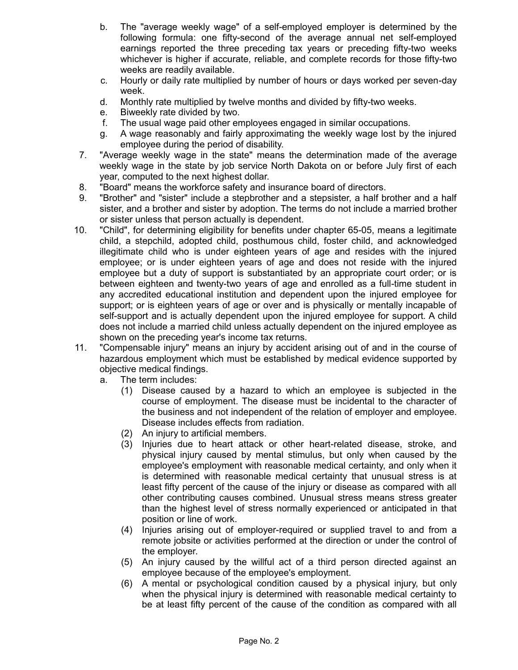- b. The "average weekly wage" of a self-employed employer is determined by the following formula: one fifty-second of the average annual net self-employed earnings reported the three preceding tax years or preceding fifty-two weeks whichever is higher if accurate, reliable, and complete records for those fifty-two weeks are readily available.
- c. Hourly or daily rate multiplied by number of hours or days worked per seven-day week.
- d. Monthly rate multiplied by twelve months and divided by fifty-two weeks.
- e. Biweekly rate divided by two.
- f. The usual wage paid other employees engaged in similar occupations.
- g. A wage reasonably and fairly approximating the weekly wage lost by the injured employee during the period of disability.
- 7. "Average weekly wage in the state" means the determination made of the average weekly wage in the state by job service North Dakota on or before July first of each year, computed to the next highest dollar.
- 8. "Board" means the workforce safety and insurance board of directors.
- 9. "Brother" and "sister" include a stepbrother and a stepsister, a half brother and a half sister, and a brother and sister by adoption. The terms do not include a married brother or sister unless that person actually is dependent.
- 10. "Child", for determining eligibility for benefits under chapter 65-05, means a legitimate child, a stepchild, adopted child, posthumous child, foster child, and acknowledged illegitimate child who is under eighteen years of age and resides with the injured employee; or is under eighteen years of age and does not reside with the injured employee but a duty of support is substantiated by an appropriate court order; or is between eighteen and twenty-two years of age and enrolled as a full-time student in any accredited educational institution and dependent upon the injured employee for support; or is eighteen years of age or over and is physically or mentally incapable of self-support and is actually dependent upon the injured employee for support. A child does not include a married child unless actually dependent on the injured employee as shown on the preceding year's income tax returns.
- 11. "Compensable injury" means an injury by accident arising out of and in the course of hazardous employment which must be established by medical evidence supported by objective medical findings.
	- a. The term includes:
		- (1) Disease caused by a hazard to which an employee is subjected in the course of employment. The disease must be incidental to the character of the business and not independent of the relation of employer and employee. Disease includes effects from radiation.
		- (2) An injury to artificial members.
		- (3) Injuries due to heart attack or other heart-related disease, stroke, and physical injury caused by mental stimulus, but only when caused by the employee's employment with reasonable medical certainty, and only when it is determined with reasonable medical certainty that unusual stress is at least fifty percent of the cause of the injury or disease as compared with all other contributing causes combined. Unusual stress means stress greater than the highest level of stress normally experienced or anticipated in that position or line of work.
		- (4) Injuries arising out of employer-required or supplied travel to and from a remote jobsite or activities performed at the direction or under the control of the employer.
		- (5) An injury caused by the willful act of a third person directed against an employee because of the employee's employment.
		- (6) A mental or psychological condition caused by a physical injury, but only when the physical injury is determined with reasonable medical certainty to be at least fifty percent of the cause of the condition as compared with all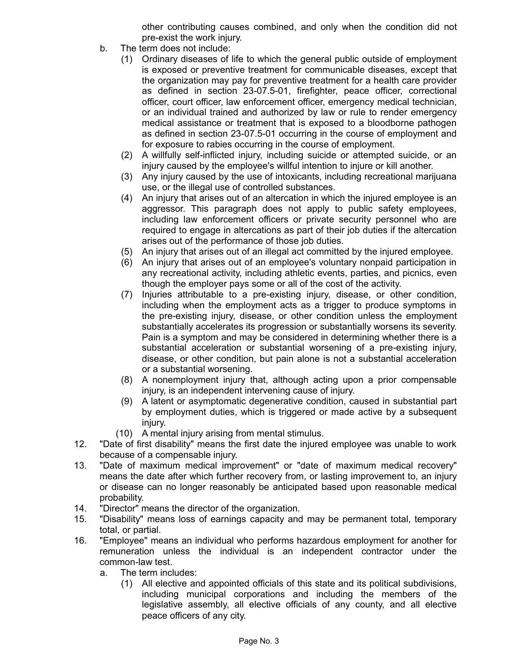other contributing causes combined, and only when the condition did not pre-exist the work injury.

- b. The term does not include:
	- (1) Ordinary diseases of life to which the general public outside of employment is exposed or preventive treatment for communicable diseases, except that the organization may pay for preventive treatment for a health care provider as defined in section 23-07.5-01, firefighter, peace officer, correctional officer, court officer, law enforcement officer, emergency medical technician, or an individual trained and authorized by law or rule to render emergency medical assistance or treatment that is exposed to a bloodborne pathogen as defined in section 23-07.5-01 occurring in the course of employment and for exposure to rabies occurring in the course of employment.
	- (2) A willfully self-inflicted injury, including suicide or attempted suicide, or an injury caused by the employee's willful intention to injure or kill another.
	- (3) Any injury caused by the use of intoxicants, including recreational marijuana use, or the illegal use of controlled substances.
	- (4) An injury that arises out of an altercation in which the injured employee is an aggressor. This paragraph does not apply to public safety employees, including law enforcement officers or private security personnel who are required to engage in altercations as part of their job duties if the altercation arises out of the performance of those job duties.
	- (5) An injury that arises out of an illegal act committed by the injured employee.
	- (6) An injury that arises out of an employee's voluntary nonpaid participation in any recreational activity, including athletic events, parties, and picnics, even though the employer pays some or all of the cost of the activity.
	- (7) Injuries attributable to a pre-existing injury, disease, or other condition, including when the employment acts as a trigger to produce symptoms in the pre-existing injury, disease, or other condition unless the employment substantially accelerates its progression or substantially worsens its severity. Pain is a symptom and may be considered in determining whether there is a substantial acceleration or substantial worsening of a pre-existing injury, disease, or other condition, but pain alone is not a substantial acceleration or a substantial worsening.
	- (8) A nonemployment injury that, although acting upon a prior compensable injury, is an independent intervening cause of injury.
	- (9) A latent or asymptomatic degenerative condition, caused in substantial part by employment duties, which is triggered or made active by a subsequent injury.
	- (10) A mental injury arising from mental stimulus.
- 12. "Date of first disability" means the first date the injured employee was unable to work because of a compensable injury.
- 13. "Date of maximum medical improvement" or "date of maximum medical recovery" means the date after which further recovery from, or lasting improvement to, an injury or disease can no longer reasonably be anticipated based upon reasonable medical probability.
- 14. "Director" means the director of the organization.
- 15. "Disability" means loss of earnings capacity and may be permanent total, temporary total, or partial.
- 16. "Employee" means an individual who performs hazardous employment for another for remuneration unless the individual is an independent contractor under the common-law test.
	- a. The term includes:
		- (1) All elective and appointed officials of this state and its political subdivisions, including municipal corporations and including the members of the legislative assembly, all elective officials of any county, and all elective peace officers of any city.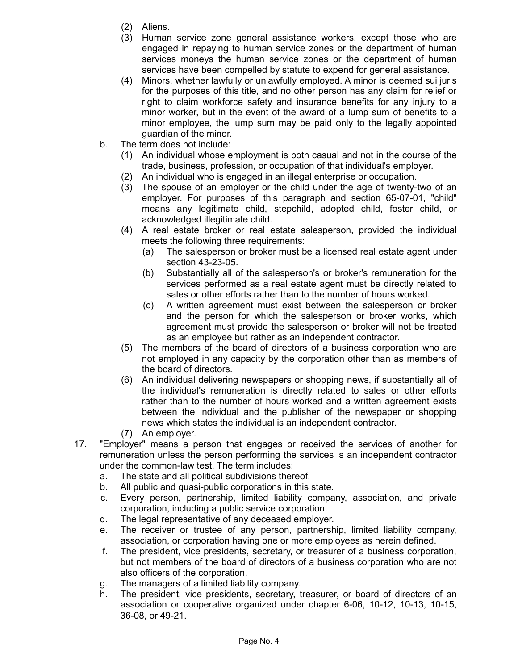- (2) Aliens.
- (3) Human service zone general assistance workers, except those who are engaged in repaying to human service zones or the department of human services moneys the human service zones or the department of human services have been compelled by statute to expend for general assistance.
- (4) Minors, whether lawfully or unlawfully employed. A minor is deemed sui juris for the purposes of this title, and no other person has any claim for relief or right to claim workforce safety and insurance benefits for any injury to a minor worker, but in the event of the award of a lump sum of benefits to a minor employee, the lump sum may be paid only to the legally appointed guardian of the minor.
- b. The term does not include:
	- (1) An individual whose employment is both casual and not in the course of the trade, business, profession, or occupation of that individual's employer.
	- (2) An individual who is engaged in an illegal enterprise or occupation.
	- (3) The spouse of an employer or the child under the age of twenty-two of an employer. For purposes of this paragraph and section 65-07-01, "child" means any legitimate child, stepchild, adopted child, foster child, or acknowledged illegitimate child.
	- (4) A real estate broker or real estate salesperson, provided the individual meets the following three requirements:
		- (a) The salesperson or broker must be a licensed real estate agent under section 43-23-05.
		- (b) Substantially all of the salesperson's or broker's remuneration for the services performed as a real estate agent must be directly related to sales or other efforts rather than to the number of hours worked.
		- (c) A written agreement must exist between the salesperson or broker and the person for which the salesperson or broker works, which agreement must provide the salesperson or broker will not be treated as an employee but rather as an independent contractor.
	- (5) The members of the board of directors of a business corporation who are not employed in any capacity by the corporation other than as members of the board of directors.
	- (6) An individual delivering newspapers or shopping news, if substantially all of the individual's remuneration is directly related to sales or other efforts rather than to the number of hours worked and a written agreement exists between the individual and the publisher of the newspaper or shopping news which states the individual is an independent contractor.
	- (7) An employer.
- 17. "Employer" means a person that engages or received the services of another for remuneration unless the person performing the services is an independent contractor under the common-law test. The term includes:
	- a. The state and all political subdivisions thereof.
	- b. All public and quasi-public corporations in this state.
	- c. Every person, partnership, limited liability company, association, and private corporation, including a public service corporation.
	- d. The legal representative of any deceased employer.
	- e. The receiver or trustee of any person, partnership, limited liability company, association, or corporation having one or more employees as herein defined.
	- f. The president, vice presidents, secretary, or treasurer of a business corporation, but not members of the board of directors of a business corporation who are not also officers of the corporation.
	- g. The managers of a limited liability company.
	- h. The president, vice presidents, secretary, treasurer, or board of directors of an association or cooperative organized under chapter 6-06, 10-12, 10-13, 10-15, 36-08, or 49-21.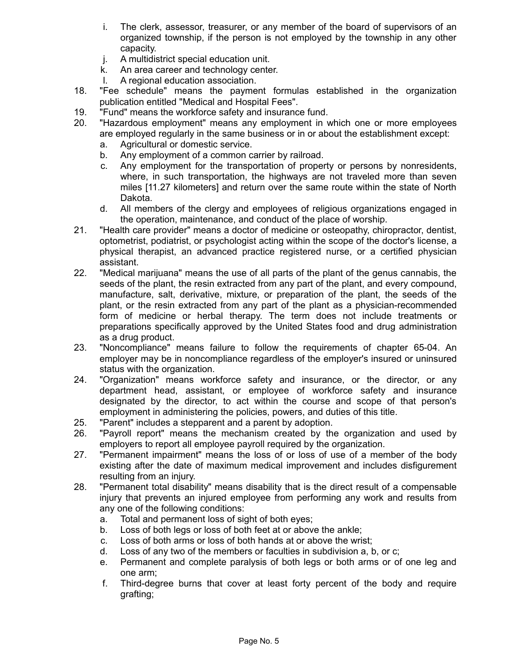- i. The clerk, assessor, treasurer, or any member of the board of supervisors of an organized township, if the person is not employed by the township in any other capacity.
- j. A multidistrict special education unit.
- k. An area career and technology center.
- l. A regional education association.
- 18. "Fee schedule" means the payment formulas established in the organization publication entitled "Medical and Hospital Fees".
- 19. "Fund" means the workforce safety and insurance fund.
- 20. "Hazardous employment" means any employment in which one or more employees are employed regularly in the same business or in or about the establishment except:
	- a. Agricultural or domestic service.
	- b. Any employment of a common carrier by railroad.
	- c. Any employment for the transportation of property or persons by nonresidents, where, in such transportation, the highways are not traveled more than seven miles [11.27 kilometers] and return over the same route within the state of North Dakota.
	- d. All members of the clergy and employees of religious organizations engaged in the operation, maintenance, and conduct of the place of worship.
- 21. "Health care provider" means a doctor of medicine or osteopathy, chiropractor, dentist, optometrist, podiatrist, or psychologist acting within the scope of the doctor's license, a physical therapist, an advanced practice registered nurse, or a certified physician assistant.
- 22. "Medical marijuana" means the use of all parts of the plant of the genus cannabis, the seeds of the plant, the resin extracted from any part of the plant, and every compound, manufacture, salt, derivative, mixture, or preparation of the plant, the seeds of the plant, or the resin extracted from any part of the plant as a physician-recommended form of medicine or herbal therapy. The term does not include treatments or preparations specifically approved by the United States food and drug administration as a drug product.
- 23. "Noncompliance" means failure to follow the requirements of chapter 65-04. An employer may be in noncompliance regardless of the employer's insured or uninsured status with the organization.
- 24. "Organization" means workforce safety and insurance, or the director, or any department head, assistant, or employee of workforce safety and insurance designated by the director, to act within the course and scope of that person's employment in administering the policies, powers, and duties of this title.
- 25. "Parent" includes a stepparent and a parent by adoption.
- 26. "Payroll report" means the mechanism created by the organization and used by employers to report all employee payroll required by the organization.
- 27. "Permanent impairment" means the loss of or loss of use of a member of the body existing after the date of maximum medical improvement and includes disfigurement resulting from an injury.
- 28. "Permanent total disability" means disability that is the direct result of a compensable injury that prevents an injured employee from performing any work and results from any one of the following conditions:
	- a. Total and permanent loss of sight of both eyes;
	- b. Loss of both legs or loss of both feet at or above the ankle;
	- c. Loss of both arms or loss of both hands at or above the wrist;
	- d. Loss of any two of the members or faculties in subdivision a, b, or c;
	- e. Permanent and complete paralysis of both legs or both arms or of one leg and one arm;
	- f. Third-degree burns that cover at least forty percent of the body and require grafting;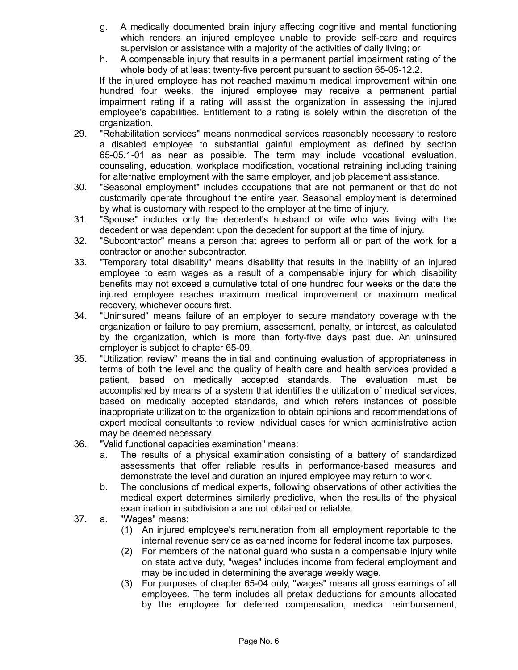- g. A medically documented brain injury affecting cognitive and mental functioning which renders an injured employee unable to provide self-care and requires supervision or assistance with a majority of the activities of daily living; or
- h. A compensable injury that results in a permanent partial impairment rating of the whole body of at least twenty-five percent pursuant to section 65-05-12.2.

If the injured employee has not reached maximum medical improvement within one hundred four weeks, the injured employee may receive a permanent partial impairment rating if a rating will assist the organization in assessing the injured employee's capabilities. Entitlement to a rating is solely within the discretion of the organization.

- 29. "Rehabilitation services" means nonmedical services reasonably necessary to restore a disabled employee to substantial gainful employment as defined by section 65-05.1-01 as near as possible. The term may include vocational evaluation, counseling, education, workplace modification, vocational retraining including training for alternative employment with the same employer, and job placement assistance.
- 30. "Seasonal employment" includes occupations that are not permanent or that do not customarily operate throughout the entire year. Seasonal employment is determined by what is customary with respect to the employer at the time of injury.
- 31. "Spouse" includes only the decedent's husband or wife who was living with the decedent or was dependent upon the decedent for support at the time of injury.
- 32. "Subcontractor" means a person that agrees to perform all or part of the work for a contractor or another subcontractor.
- 33. "Temporary total disability" means disability that results in the inability of an injured employee to earn wages as a result of a compensable injury for which disability benefits may not exceed a cumulative total of one hundred four weeks or the date the injured employee reaches maximum medical improvement or maximum medical recovery, whichever occurs first.
- 34. "Uninsured" means failure of an employer to secure mandatory coverage with the organization or failure to pay premium, assessment, penalty, or interest, as calculated by the organization, which is more than forty-five days past due. An uninsured employer is subject to chapter 65-09.
- 35. "Utilization review" means the initial and continuing evaluation of appropriateness in terms of both the level and the quality of health care and health services provided a patient, based on medically accepted standards. The evaluation must be accomplished by means of a system that identifies the utilization of medical services, based on medically accepted standards, and which refers instances of possible inappropriate utilization to the organization to obtain opinions and recommendations of expert medical consultants to review individual cases for which administrative action may be deemed necessary.
- 36. "Valid functional capacities examination" means:
	- a. The results of a physical examination consisting of a battery of standardized assessments that offer reliable results in performance-based measures and demonstrate the level and duration an injured employee may return to work.
	- b. The conclusions of medical experts, following observations of other activities the medical expert determines similarly predictive, when the results of the physical examination in subdivision a are not obtained or reliable.
- 37. a. "Wages" means:
	- (1) An injured employee's remuneration from all employment reportable to the internal revenue service as earned income for federal income tax purposes.
	- (2) For members of the national guard who sustain a compensable injury while on state active duty, "wages" includes income from federal employment and may be included in determining the average weekly wage.
	- (3) For purposes of chapter 65-04 only, "wages" means all gross earnings of all employees. The term includes all pretax deductions for amounts allocated by the employee for deferred compensation, medical reimbursement,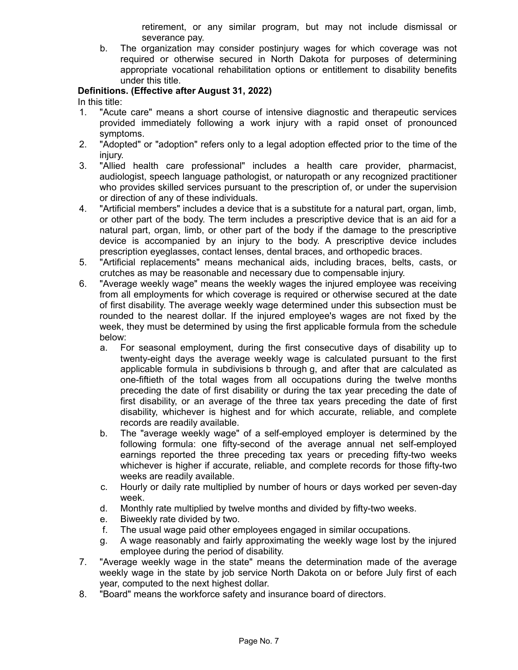retirement, or any similar program, but may not include dismissal or severance pay.

b. The organization may consider postinjury wages for which coverage was not required or otherwise secured in North Dakota for purposes of determining appropriate vocational rehabilitation options or entitlement to disability benefits under this title.

## **Definitions. (Effective after August 31, 2022)**

In this title:

- 1. "Acute care" means a short course of intensive diagnostic and therapeutic services provided immediately following a work injury with a rapid onset of pronounced symptoms.
- 2. "Adopted" or "adoption" refers only to a legal adoption effected prior to the time of the injury.
- 3. "Allied health care professional" includes a health care provider, pharmacist, audiologist, speech language pathologist, or naturopath or any recognized practitioner who provides skilled services pursuant to the prescription of, or under the supervision or direction of any of these individuals.
- 4. "Artificial members" includes a device that is a substitute for a natural part, organ, limb, or other part of the body. The term includes a prescriptive device that is an aid for a natural part, organ, limb, or other part of the body if the damage to the prescriptive device is accompanied by an injury to the body. A prescriptive device includes prescription eyeglasses, contact lenses, dental braces, and orthopedic braces.
- 5. "Artificial replacements" means mechanical aids, including braces, belts, casts, or crutches as may be reasonable and necessary due to compensable injury.
- 6. "Average weekly wage" means the weekly wages the injured employee was receiving from all employments for which coverage is required or otherwise secured at the date of first disability. The average weekly wage determined under this subsection must be rounded to the nearest dollar. If the injured employee's wages are not fixed by the week, they must be determined by using the first applicable formula from the schedule below:
	- a. For seasonal employment, during the first consecutive days of disability up to twenty-eight days the average weekly wage is calculated pursuant to the first applicable formula in subdivisions b through g, and after that are calculated as one-fiftieth of the total wages from all occupations during the twelve months preceding the date of first disability or during the tax year preceding the date of first disability, or an average of the three tax years preceding the date of first disability, whichever is highest and for which accurate, reliable, and complete records are readily available.
	- b. The "average weekly wage" of a self-employed employer is determined by the following formula: one fifty-second of the average annual net self-employed earnings reported the three preceding tax years or preceding fifty-two weeks whichever is higher if accurate, reliable, and complete records for those fifty-two weeks are readily available.
	- c. Hourly or daily rate multiplied by number of hours or days worked per seven-day week.
	- d. Monthly rate multiplied by twelve months and divided by fifty-two weeks.
	- e. Biweekly rate divided by two.
	- f. The usual wage paid other employees engaged in similar occupations.
	- g. A wage reasonably and fairly approximating the weekly wage lost by the injured employee during the period of disability.
- 7. "Average weekly wage in the state" means the determination made of the average weekly wage in the state by job service North Dakota on or before July first of each year, computed to the next highest dollar.
- 8. "Board" means the workforce safety and insurance board of directors.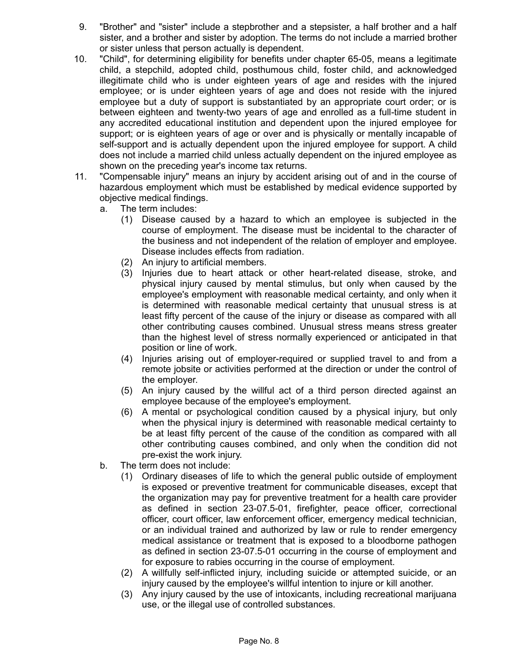- 9. "Brother" and "sister" include a stepbrother and a stepsister, a half brother and a half sister, and a brother and sister by adoption. The terms do not include a married brother or sister unless that person actually is dependent.
- 10. "Child", for determining eligibility for benefits under chapter 65-05, means a legitimate child, a stepchild, adopted child, posthumous child, foster child, and acknowledged illegitimate child who is under eighteen years of age and resides with the injured employee; or is under eighteen years of age and does not reside with the injured employee but a duty of support is substantiated by an appropriate court order; or is between eighteen and twenty-two years of age and enrolled as a full-time student in any accredited educational institution and dependent upon the injured employee for support; or is eighteen years of age or over and is physically or mentally incapable of self-support and is actually dependent upon the injured employee for support. A child does not include a married child unless actually dependent on the injured employee as shown on the preceding year's income tax returns.
- 11. "Compensable injury" means an injury by accident arising out of and in the course of hazardous employment which must be established by medical evidence supported by objective medical findings.
	- a. The term includes:
		- (1) Disease caused by a hazard to which an employee is subjected in the course of employment. The disease must be incidental to the character of the business and not independent of the relation of employer and employee. Disease includes effects from radiation.
		- (2) An injury to artificial members.
		- (3) Injuries due to heart attack or other heart-related disease, stroke, and physical injury caused by mental stimulus, but only when caused by the employee's employment with reasonable medical certainty, and only when it is determined with reasonable medical certainty that unusual stress is at least fifty percent of the cause of the injury or disease as compared with all other contributing causes combined. Unusual stress means stress greater than the highest level of stress normally experienced or anticipated in that position or line of work.
		- (4) Injuries arising out of employer-required or supplied travel to and from a remote jobsite or activities performed at the direction or under the control of the employer.
		- (5) An injury caused by the willful act of a third person directed against an employee because of the employee's employment.
		- (6) A mental or psychological condition caused by a physical injury, but only when the physical injury is determined with reasonable medical certainty to be at least fifty percent of the cause of the condition as compared with all other contributing causes combined, and only when the condition did not pre-exist the work injury.
	- b. The term does not include:
		- (1) Ordinary diseases of life to which the general public outside of employment is exposed or preventive treatment for communicable diseases, except that the organization may pay for preventive treatment for a health care provider as defined in section 23-07.5-01, firefighter, peace officer, correctional officer, court officer, law enforcement officer, emergency medical technician, or an individual trained and authorized by law or rule to render emergency medical assistance or treatment that is exposed to a bloodborne pathogen as defined in section 23-07.5-01 occurring in the course of employment and for exposure to rabies occurring in the course of employment.
		- (2) A willfully self-inflicted injury, including suicide or attempted suicide, or an injury caused by the employee's willful intention to injure or kill another.
		- (3) Any injury caused by the use of intoxicants, including recreational marijuana use, or the illegal use of controlled substances.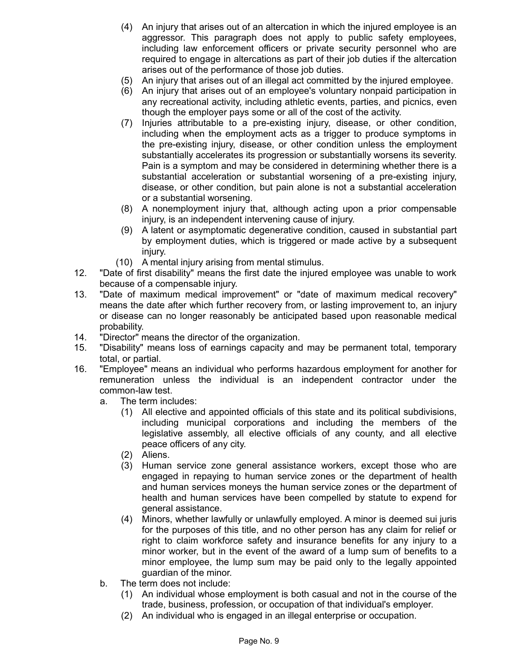- (4) An injury that arises out of an altercation in which the injured employee is an aggressor. This paragraph does not apply to public safety employees, including law enforcement officers or private security personnel who are required to engage in altercations as part of their job duties if the altercation arises out of the performance of those job duties.
- (5) An injury that arises out of an illegal act committed by the injured employee.
- (6) An injury that arises out of an employee's voluntary nonpaid participation in any recreational activity, including athletic events, parties, and picnics, even though the employer pays some or all of the cost of the activity.
- (7) Injuries attributable to a pre-existing injury, disease, or other condition, including when the employment acts as a trigger to produce symptoms in the pre-existing injury, disease, or other condition unless the employment substantially accelerates its progression or substantially worsens its severity. Pain is a symptom and may be considered in determining whether there is a substantial acceleration or substantial worsening of a pre-existing injury, disease, or other condition, but pain alone is not a substantial acceleration or a substantial worsening.
- (8) A nonemployment injury that, although acting upon a prior compensable injury, is an independent intervening cause of injury.
- (9) A latent or asymptomatic degenerative condition, caused in substantial part by employment duties, which is triggered or made active by a subsequent injury.
- (10) A mental injury arising from mental stimulus.
- 12. "Date of first disability" means the first date the injured employee was unable to work because of a compensable injury.
- 13. "Date of maximum medical improvement" or "date of maximum medical recovery" means the date after which further recovery from, or lasting improvement to, an injury or disease can no longer reasonably be anticipated based upon reasonable medical probability.
- 14. "Director" means the director of the organization.
- 15. "Disability" means loss of earnings capacity and may be permanent total, temporary total, or partial.
- 16. "Employee" means an individual who performs hazardous employment for another for remuneration unless the individual is an independent contractor under the common-law test.
	- a. The term includes:
		- (1) All elective and appointed officials of this state and its political subdivisions, including municipal corporations and including the members of the legislative assembly, all elective officials of any county, and all elective peace officers of any city.
		- (2) Aliens.
		- (3) Human service zone general assistance workers, except those who are engaged in repaying to human service zones or the department of health and human services moneys the human service zones or the department of health and human services have been compelled by statute to expend for general assistance.
		- (4) Minors, whether lawfully or unlawfully employed. A minor is deemed sui juris for the purposes of this title, and no other person has any claim for relief or right to claim workforce safety and insurance benefits for any injury to a minor worker, but in the event of the award of a lump sum of benefits to a minor employee, the lump sum may be paid only to the legally appointed guardian of the minor.
	- b. The term does not include:
		- (1) An individual whose employment is both casual and not in the course of the trade, business, profession, or occupation of that individual's employer.
		- (2) An individual who is engaged in an illegal enterprise or occupation.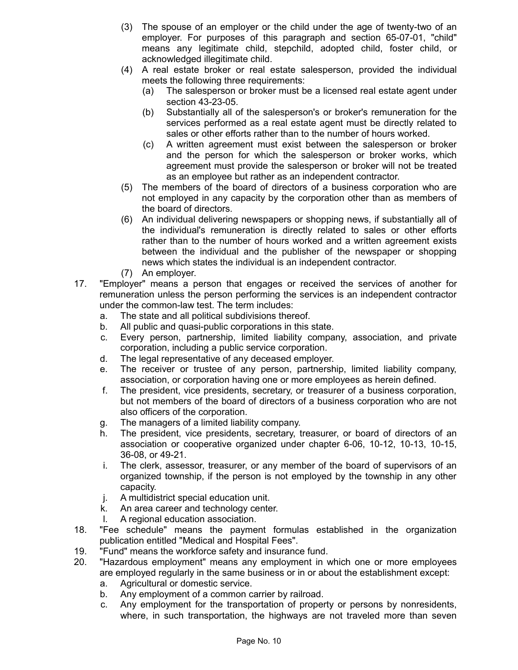- (3) The spouse of an employer or the child under the age of twenty-two of an employer. For purposes of this paragraph and section 65-07-01, "child" means any legitimate child, stepchild, adopted child, foster child, or acknowledged illegitimate child.
- (4) A real estate broker or real estate salesperson, provided the individual meets the following three requirements:
	- (a) The salesperson or broker must be a licensed real estate agent under section 43-23-05.
	- (b) Substantially all of the salesperson's or broker's remuneration for the services performed as a real estate agent must be directly related to sales or other efforts rather than to the number of hours worked.
	- (c) A written agreement must exist between the salesperson or broker and the person for which the salesperson or broker works, which agreement must provide the salesperson or broker will not be treated as an employee but rather as an independent contractor.
- (5) The members of the board of directors of a business corporation who are not employed in any capacity by the corporation other than as members of the board of directors.
- (6) An individual delivering newspapers or shopping news, if substantially all of the individual's remuneration is directly related to sales or other efforts rather than to the number of hours worked and a written agreement exists between the individual and the publisher of the newspaper or shopping news which states the individual is an independent contractor.
- (7) An employer.
- 17. "Employer" means a person that engages or received the services of another for remuneration unless the person performing the services is an independent contractor under the common-law test. The term includes:
	- a. The state and all political subdivisions thereof.
	- b. All public and quasi-public corporations in this state.
	- c. Every person, partnership, limited liability company, association, and private corporation, including a public service corporation.
	- d. The legal representative of any deceased employer.
	- e. The receiver or trustee of any person, partnership, limited liability company, association, or corporation having one or more employees as herein defined.
	- f. The president, vice presidents, secretary, or treasurer of a business corporation, but not members of the board of directors of a business corporation who are not also officers of the corporation.
	- g. The managers of a limited liability company.
	- h. The president, vice presidents, secretary, treasurer, or board of directors of an association or cooperative organized under chapter 6-06, 10-12, 10-13, 10-15, 36-08, or 49-21.
	- i. The clerk, assessor, treasurer, or any member of the board of supervisors of an organized township, if the person is not employed by the township in any other capacity.
	- j. A multidistrict special education unit.
	- k. An area career and technology center.
	- l. A regional education association.
- 18. "Fee schedule" means the payment formulas established in the organization publication entitled "Medical and Hospital Fees".
- 19. "Fund" means the workforce safety and insurance fund.
- 20. "Hazardous employment" means any employment in which one or more employees are employed regularly in the same business or in or about the establishment except:
	- a. Agricultural or domestic service.
	- b. Any employment of a common carrier by railroad.
	- c. Any employment for the transportation of property or persons by nonresidents, where, in such transportation, the highways are not traveled more than seven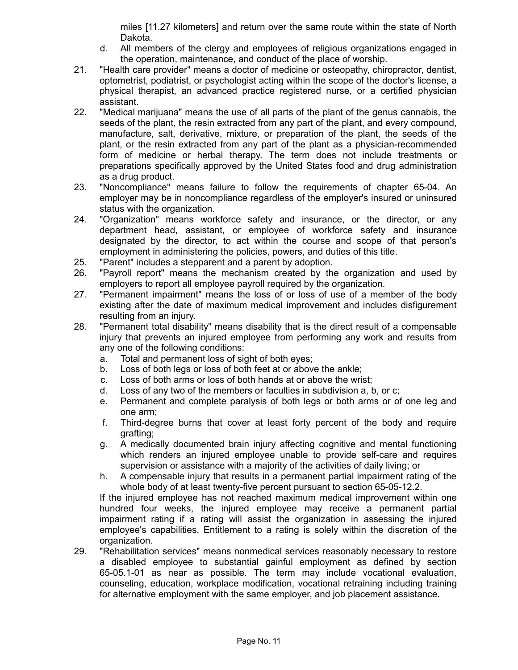miles [11.27 kilometers] and return over the same route within the state of North Dakota.

- d. All members of the clergy and employees of religious organizations engaged in the operation, maintenance, and conduct of the place of worship.
- 21. "Health care provider" means a doctor of medicine or osteopathy, chiropractor, dentist, optometrist, podiatrist, or psychologist acting within the scope of the doctor's license, a physical therapist, an advanced practice registered nurse, or a certified physician assistant.
- 22. "Medical marijuana" means the use of all parts of the plant of the genus cannabis, the seeds of the plant, the resin extracted from any part of the plant, and every compound, manufacture, salt, derivative, mixture, or preparation of the plant, the seeds of the plant, or the resin extracted from any part of the plant as a physician-recommended form of medicine or herbal therapy. The term does not include treatments or preparations specifically approved by the United States food and drug administration as a drug product.
- 23. "Noncompliance" means failure to follow the requirements of chapter 65-04. An employer may be in noncompliance regardless of the employer's insured or uninsured status with the organization.
- 24. "Organization" means workforce safety and insurance, or the director, or any department head, assistant, or employee of workforce safety and insurance designated by the director, to act within the course and scope of that person's employment in administering the policies, powers, and duties of this title.
- 25. "Parent" includes a stepparent and a parent by adoption.
- 26. "Payroll report" means the mechanism created by the organization and used by employers to report all employee payroll required by the organization.
- 27. "Permanent impairment" means the loss of or loss of use of a member of the body existing after the date of maximum medical improvement and includes disfigurement resulting from an injury.
- 28. "Permanent total disability" means disability that is the direct result of a compensable injury that prevents an injured employee from performing any work and results from any one of the following conditions:
	- a. Total and permanent loss of sight of both eyes;
	- b. Loss of both legs or loss of both feet at or above the ankle;
	- c. Loss of both arms or loss of both hands at or above the wrist;
	- d. Loss of any two of the members or faculties in subdivision a, b, or c;
	- e. Permanent and complete paralysis of both legs or both arms or of one leg and one arm;
	- f. Third-degree burns that cover at least forty percent of the body and require grafting;
	- g. A medically documented brain injury affecting cognitive and mental functioning which renders an injured employee unable to provide self-care and requires supervision or assistance with a majority of the activities of daily living; or
	- h. A compensable injury that results in a permanent partial impairment rating of the whole body of at least twenty-five percent pursuant to section 65-05-12.2.

If the injured employee has not reached maximum medical improvement within one hundred four weeks, the injured employee may receive a permanent partial impairment rating if a rating will assist the organization in assessing the injured employee's capabilities. Entitlement to a rating is solely within the discretion of the organization.

29. "Rehabilitation services" means nonmedical services reasonably necessary to restore a disabled employee to substantial gainful employment as defined by section 65-05.1-01 as near as possible. The term may include vocational evaluation, counseling, education, workplace modification, vocational retraining including training for alternative employment with the same employer, and job placement assistance.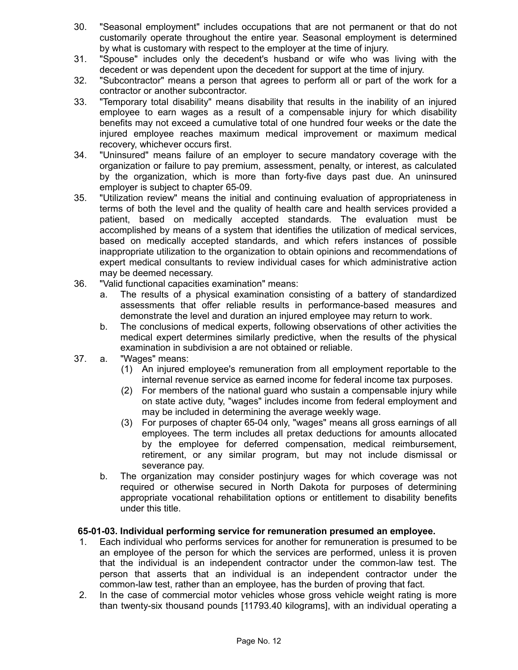- 30. "Seasonal employment" includes occupations that are not permanent or that do not customarily operate throughout the entire year. Seasonal employment is determined by what is customary with respect to the employer at the time of injury.
- 31. "Spouse" includes only the decedent's husband or wife who was living with the decedent or was dependent upon the decedent for support at the time of injury.
- 32. "Subcontractor" means a person that agrees to perform all or part of the work for a contractor or another subcontractor.
- 33. "Temporary total disability" means disability that results in the inability of an injured employee to earn wages as a result of a compensable injury for which disability benefits may not exceed a cumulative total of one hundred four weeks or the date the injured employee reaches maximum medical improvement or maximum medical recovery, whichever occurs first.
- 34. "Uninsured" means failure of an employer to secure mandatory coverage with the organization or failure to pay premium, assessment, penalty, or interest, as calculated by the organization, which is more than forty-five days past due. An uninsured employer is subject to chapter 65-09.
- 35. "Utilization review" means the initial and continuing evaluation of appropriateness in terms of both the level and the quality of health care and health services provided a patient, based on medically accepted standards. The evaluation must be accomplished by means of a system that identifies the utilization of medical services, based on medically accepted standards, and which refers instances of possible inappropriate utilization to the organization to obtain opinions and recommendations of expert medical consultants to review individual cases for which administrative action may be deemed necessary.
- 36. "Valid functional capacities examination" means:
	- a. The results of a physical examination consisting of a battery of standardized assessments that offer reliable results in performance-based measures and demonstrate the level and duration an injured employee may return to work.
	- b. The conclusions of medical experts, following observations of other activities the medical expert determines similarly predictive, when the results of the physical examination in subdivision a are not obtained or reliable.
- 37. a. "Wages" means:
	- (1) An injured employee's remuneration from all employment reportable to the internal revenue service as earned income for federal income tax purposes.
	- (2) For members of the national guard who sustain a compensable injury while on state active duty, "wages" includes income from federal employment and may be included in determining the average weekly wage.
	- (3) For purposes of chapter 65-04 only, "wages" means all gross earnings of all employees. The term includes all pretax deductions for amounts allocated by the employee for deferred compensation, medical reimbursement, retirement, or any similar program, but may not include dismissal or severance pay.
	- b. The organization may consider postinjury wages for which coverage was not required or otherwise secured in North Dakota for purposes of determining appropriate vocational rehabilitation options or entitlement to disability benefits under this title.

## **65-01-03. Individual performing service for remuneration presumed an employee.**

- 1. Each individual who performs services for another for remuneration is presumed to be an employee of the person for which the services are performed, unless it is proven that the individual is an independent contractor under the common-law test. The person that asserts that an individual is an independent contractor under the common-law test, rather than an employee, has the burden of proving that fact.
- 2. In the case of commercial motor vehicles whose gross vehicle weight rating is more than twenty-six thousand pounds [11793.40 kilograms], with an individual operating a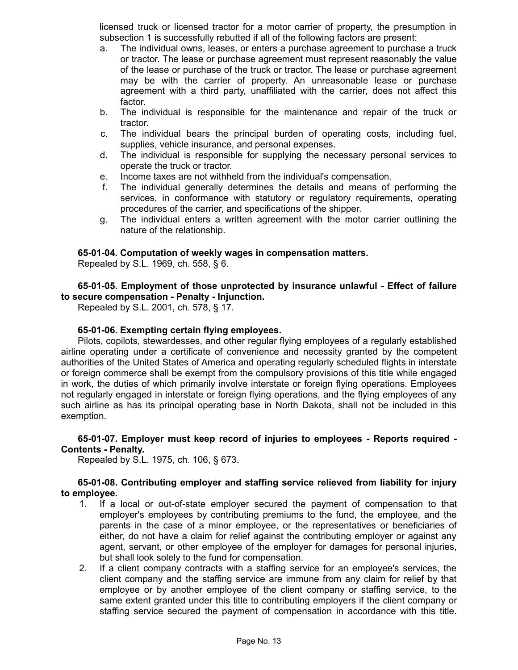licensed truck or licensed tractor for a motor carrier of property, the presumption in subsection 1 is successfully rebutted if all of the following factors are present:

- a. The individual owns, leases, or enters a purchase agreement to purchase a truck or tractor. The lease or purchase agreement must represent reasonably the value of the lease or purchase of the truck or tractor. The lease or purchase agreement may be with the carrier of property. An unreasonable lease or purchase agreement with a third party, unaffiliated with the carrier, does not affect this factor.
- b. The individual is responsible for the maintenance and repair of the truck or tractor.
- c. The individual bears the principal burden of operating costs, including fuel, supplies, vehicle insurance, and personal expenses.
- d. The individual is responsible for supplying the necessary personal services to operate the truck or tractor.
- e. Income taxes are not withheld from the individual's compensation.
- f. The individual generally determines the details and means of performing the services, in conformance with statutory or regulatory requirements, operating procedures of the carrier, and specifications of the shipper.
- g. The individual enters a written agreement with the motor carrier outlining the nature of the relationship.

### **65-01-04. Computation of weekly wages in compensation matters.**

Repealed by S.L. 1969, ch. 558, § 6.

**65-01-05. Employment of those unprotected by insurance unlawful - Effect of failure to secure compensation - Penalty - Injunction.**

Repealed by S.L. 2001, ch. 578, § 17.

### **65-01-06. Exempting certain flying employees.**

Pilots, copilots, stewardesses, and other regular flying employees of a regularly established airline operating under a certificate of convenience and necessity granted by the competent authorities of the United States of America and operating regularly scheduled flights in interstate or foreign commerce shall be exempt from the compulsory provisions of this title while engaged in work, the duties of which primarily involve interstate or foreign flying operations. Employees not regularly engaged in interstate or foreign flying operations, and the flying employees of any such airline as has its principal operating base in North Dakota, shall not be included in this exemption.

### **65-01-07. Employer must keep record of injuries to employees - Reports required - Contents - Penalty.**

Repealed by S.L. 1975, ch. 106, § 673.

### **65-01-08. Contributing employer and staffing service relieved from liability for injury to employee.**

- 1. If a local or out-of-state employer secured the payment of compensation to that employer's employees by contributing premiums to the fund, the employee, and the parents in the case of a minor employee, or the representatives or beneficiaries of either, do not have a claim for relief against the contributing employer or against any agent, servant, or other employee of the employer for damages for personal injuries, but shall look solely to the fund for compensation.
- 2. If a client company contracts with a staffing service for an employee's services, the client company and the staffing service are immune from any claim for relief by that employee or by another employee of the client company or staffing service, to the same extent granted under this title to contributing employers if the client company or staffing service secured the payment of compensation in accordance with this title.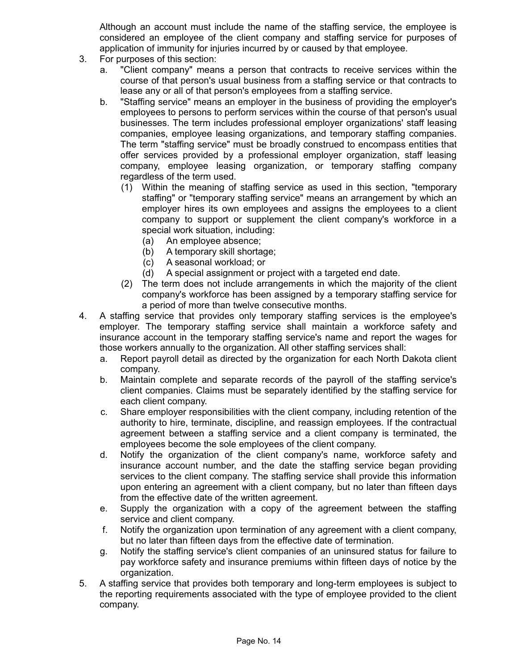Although an account must include the name of the staffing service, the employee is considered an employee of the client company and staffing service for purposes of application of immunity for injuries incurred by or caused by that employee.

- 3. For purposes of this section:
	- a. "Client company" means a person that contracts to receive services within the course of that person's usual business from a staffing service or that contracts to lease any or all of that person's employees from a staffing service.
	- b. "Staffing service" means an employer in the business of providing the employer's employees to persons to perform services within the course of that person's usual businesses. The term includes professional employer organizations' staff leasing companies, employee leasing organizations, and temporary staffing companies. The term "staffing service" must be broadly construed to encompass entities that offer services provided by a professional employer organization, staff leasing company, employee leasing organization, or temporary staffing company regardless of the term used.
		- (1) Within the meaning of staffing service as used in this section, "temporary staffing" or "temporary staffing service" means an arrangement by which an employer hires its own employees and assigns the employees to a client company to support or supplement the client company's workforce in a special work situation, including:
			- (a) An employee absence;
			- (b) A temporary skill shortage;
			- (c) A seasonal workload; or
			- (d) A special assignment or project with a targeted end date.
		- (2) The term does not include arrangements in which the majority of the client company's workforce has been assigned by a temporary staffing service for a period of more than twelve consecutive months.
- 4. A staffing service that provides only temporary staffing services is the employee's employer. The temporary staffing service shall maintain a workforce safety and insurance account in the temporary staffing service's name and report the wages for those workers annually to the organization. All other staffing services shall:
	- a. Report payroll detail as directed by the organization for each North Dakota client company.
	- b. Maintain complete and separate records of the payroll of the staffing service's client companies. Claims must be separately identified by the staffing service for each client company.
	- c. Share employer responsibilities with the client company, including retention of the authority to hire, terminate, discipline, and reassign employees. If the contractual agreement between a staffing service and a client company is terminated, the employees become the sole employees of the client company.
	- d. Notify the organization of the client company's name, workforce safety and insurance account number, and the date the staffing service began providing services to the client company. The staffing service shall provide this information upon entering an agreement with a client company, but no later than fifteen days from the effective date of the written agreement.
	- e. Supply the organization with a copy of the agreement between the staffing service and client company.
	- f. Notify the organization upon termination of any agreement with a client company, but no later than fifteen days from the effective date of termination.
	- g. Notify the staffing service's client companies of an uninsured status for failure to pay workforce safety and insurance premiums within fifteen days of notice by the organization.
- 5. A staffing service that provides both temporary and long-term employees is subject to the reporting requirements associated with the type of employee provided to the client company.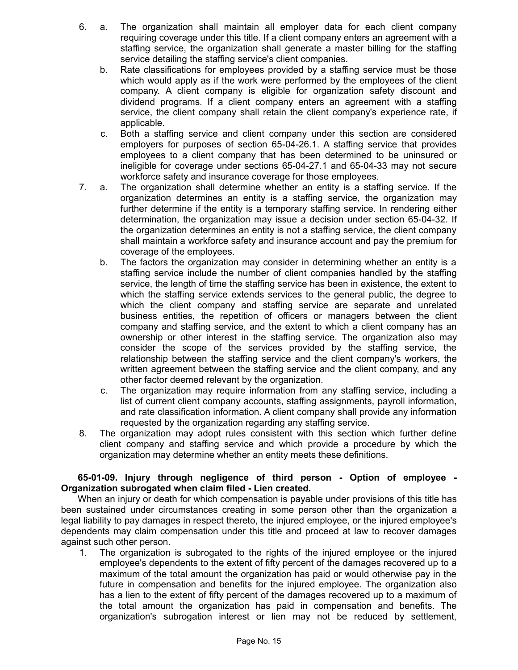- 6. a. The organization shall maintain all employer data for each client company requiring coverage under this title. If a client company enters an agreement with a staffing service, the organization shall generate a master billing for the staffing service detailing the staffing service's client companies.
	- b. Rate classifications for employees provided by a staffing service must be those which would apply as if the work were performed by the employees of the client company. A client company is eligible for organization safety discount and dividend programs. If a client company enters an agreement with a staffing service, the client company shall retain the client company's experience rate, if applicable.
	- c. Both a staffing service and client company under this section are considered employers for purposes of section 65-04-26.1. A staffing service that provides employees to a client company that has been determined to be uninsured or ineligible for coverage under sections 65-04-27.1 and 65-04-33 may not secure workforce safety and insurance coverage for those employees.
- 7. a. The organization shall determine whether an entity is a staffing service. If the organization determines an entity is a staffing service, the organization may further determine if the entity is a temporary staffing service. In rendering either determination, the organization may issue a decision under section 65-04-32. If the organization determines an entity is not a staffing service, the client company shall maintain a workforce safety and insurance account and pay the premium for coverage of the employees.
	- b. The factors the organization may consider in determining whether an entity is a staffing service include the number of client companies handled by the staffing service, the length of time the staffing service has been in existence, the extent to which the staffing service extends services to the general public, the degree to which the client company and staffing service are separate and unrelated business entities, the repetition of officers or managers between the client company and staffing service, and the extent to which a client company has an ownership or other interest in the staffing service. The organization also may consider the scope of the services provided by the staffing service, the relationship between the staffing service and the client company's workers, the written agreement between the staffing service and the client company, and any other factor deemed relevant by the organization.
	- c. The organization may require information from any staffing service, including a list of current client company accounts, staffing assignments, payroll information, and rate classification information. A client company shall provide any information requested by the organization regarding any staffing service.
- 8. The organization may adopt rules consistent with this section which further define client company and staffing service and which provide a procedure by which the organization may determine whether an entity meets these definitions.

## **65-01-09. Injury through negligence of third person - Option of employee - Organization subrogated when claim filed - Lien created.**

When an injury or death for which compensation is payable under provisions of this title has been sustained under circumstances creating in some person other than the organization a legal liability to pay damages in respect thereto, the injured employee, or the injured employee's dependents may claim compensation under this title and proceed at law to recover damages against such other person.

1. The organization is subrogated to the rights of the injured employee or the injured employee's dependents to the extent of fifty percent of the damages recovered up to a maximum of the total amount the organization has paid or would otherwise pay in the future in compensation and benefits for the injured employee. The organization also has a lien to the extent of fifty percent of the damages recovered up to a maximum of the total amount the organization has paid in compensation and benefits. The organization's subrogation interest or lien may not be reduced by settlement,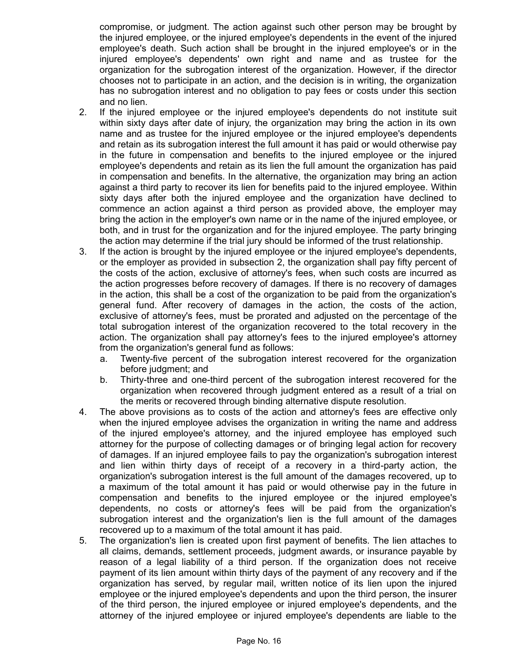compromise, or judgment. The action against such other person may be brought by the injured employee, or the injured employee's dependents in the event of the injured employee's death. Such action shall be brought in the injured employee's or in the injured employee's dependents' own right and name and as trustee for the organization for the subrogation interest of the organization. However, if the director chooses not to participate in an action, and the decision is in writing, the organization has no subrogation interest and no obligation to pay fees or costs under this section and no lien.

- 2. If the injured employee or the injured employee's dependents do not institute suit within sixty days after date of injury, the organization may bring the action in its own name and as trustee for the injured employee or the injured employee's dependents and retain as its subrogation interest the full amount it has paid or would otherwise pay in the future in compensation and benefits to the injured employee or the injured employee's dependents and retain as its lien the full amount the organization has paid in compensation and benefits. In the alternative, the organization may bring an action against a third party to recover its lien for benefits paid to the injured employee. Within sixty days after both the injured employee and the organization have declined to commence an action against a third person as provided above, the employer may bring the action in the employer's own name or in the name of the injured employee, or both, and in trust for the organization and for the injured employee. The party bringing the action may determine if the trial jury should be informed of the trust relationship.
- 3. If the action is brought by the injured employee or the injured employee's dependents, or the employer as provided in subsection 2, the organization shall pay fifty percent of the costs of the action, exclusive of attorney's fees, when such costs are incurred as the action progresses before recovery of damages. If there is no recovery of damages in the action, this shall be a cost of the organization to be paid from the organization's general fund. After recovery of damages in the action, the costs of the action, exclusive of attorney's fees, must be prorated and adjusted on the percentage of the total subrogation interest of the organization recovered to the total recovery in the action. The organization shall pay attorney's fees to the injured employee's attorney from the organization's general fund as follows:
	- a. Twenty-five percent of the subrogation interest recovered for the organization before judgment; and
	- b. Thirty-three and one-third percent of the subrogation interest recovered for the organization when recovered through judgment entered as a result of a trial on the merits or recovered through binding alternative dispute resolution.
- 4. The above provisions as to costs of the action and attorney's fees are effective only when the injured employee advises the organization in writing the name and address of the injured employee's attorney, and the injured employee has employed such attorney for the purpose of collecting damages or of bringing legal action for recovery of damages. If an injured employee fails to pay the organization's subrogation interest and lien within thirty days of receipt of a recovery in a third-party action, the organization's subrogation interest is the full amount of the damages recovered, up to a maximum of the total amount it has paid or would otherwise pay in the future in compensation and benefits to the injured employee or the injured employee's dependents, no costs or attorney's fees will be paid from the organization's subrogation interest and the organization's lien is the full amount of the damages recovered up to a maximum of the total amount it has paid.
- 5. The organization's lien is created upon first payment of benefits. The lien attaches to all claims, demands, settlement proceeds, judgment awards, or insurance payable by reason of a legal liability of a third person. If the organization does not receive payment of its lien amount within thirty days of the payment of any recovery and if the organization has served, by regular mail, written notice of its lien upon the injured employee or the injured employee's dependents and upon the third person, the insurer of the third person, the injured employee or injured employee's dependents, and the attorney of the injured employee or injured employee's dependents are liable to the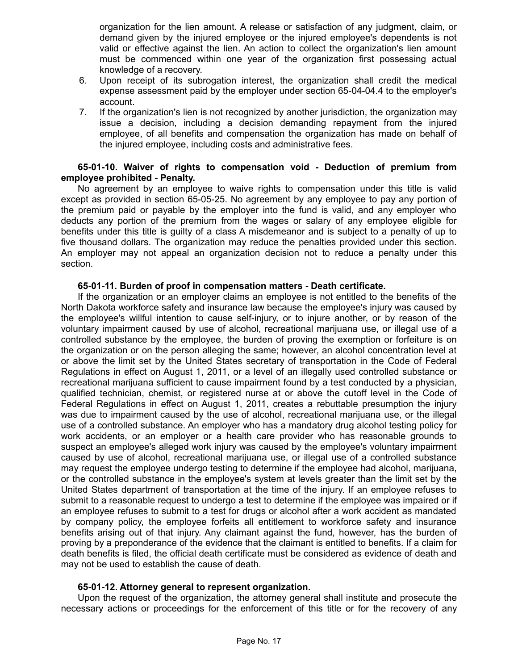organization for the lien amount. A release or satisfaction of any judgment, claim, or demand given by the injured employee or the injured employee's dependents is not valid or effective against the lien. An action to collect the organization's lien amount must be commenced within one year of the organization first possessing actual knowledge of a recovery.

- 6. Upon receipt of its subrogation interest, the organization shall credit the medical expense assessment paid by the employer under section 65-04-04.4 to the employer's account.
- 7. If the organization's lien is not recognized by another jurisdiction, the organization may issue a decision, including a decision demanding repayment from the injured employee, of all benefits and compensation the organization has made on behalf of the injured employee, including costs and administrative fees.

#### **65-01-10. Waiver of rights to compensation void - Deduction of premium from employee prohibited - Penalty.**

No agreement by an employee to waive rights to compensation under this title is valid except as provided in section 65-05-25. No agreement by any employee to pay any portion of the premium paid or payable by the employer into the fund is valid, and any employer who deducts any portion of the premium from the wages or salary of any employee eligible for benefits under this title is guilty of a class A misdemeanor and is subject to a penalty of up to five thousand dollars. The organization may reduce the penalties provided under this section. An employer may not appeal an organization decision not to reduce a penalty under this section.

### **65-01-11. Burden of proof in compensation matters - Death certificate.**

If the organization or an employer claims an employee is not entitled to the benefits of the North Dakota workforce safety and insurance law because the employee's injury was caused by the employee's willful intention to cause self-injury, or to injure another, or by reason of the voluntary impairment caused by use of alcohol, recreational marijuana use, or illegal use of a controlled substance by the employee, the burden of proving the exemption or forfeiture is on the organization or on the person alleging the same; however, an alcohol concentration level at or above the limit set by the United States secretary of transportation in the Code of Federal Regulations in effect on August 1, 2011, or a level of an illegally used controlled substance or recreational marijuana sufficient to cause impairment found by a test conducted by a physician, qualified technician, chemist, or registered nurse at or above the cutoff level in the Code of Federal Regulations in effect on August 1, 2011, creates a rebuttable presumption the injury was due to impairment caused by the use of alcohol, recreational marijuana use, or the illegal use of a controlled substance. An employer who has a mandatory drug alcohol testing policy for work accidents, or an employer or a health care provider who has reasonable grounds to suspect an employee's alleged work injury was caused by the employee's voluntary impairment caused by use of alcohol, recreational marijuana use, or illegal use of a controlled substance may request the employee undergo testing to determine if the employee had alcohol, marijuana, or the controlled substance in the employee's system at levels greater than the limit set by the United States department of transportation at the time of the injury. If an employee refuses to submit to a reasonable request to undergo a test to determine if the employee was impaired or if an employee refuses to submit to a test for drugs or alcohol after a work accident as mandated by company policy, the employee forfeits all entitlement to workforce safety and insurance benefits arising out of that injury. Any claimant against the fund, however, has the burden of proving by a preponderance of the evidence that the claimant is entitled to benefits. If a claim for death benefits is filed, the official death certificate must be considered as evidence of death and may not be used to establish the cause of death.

## **65-01-12. Attorney general to represent organization.**

Upon the request of the organization, the attorney general shall institute and prosecute the necessary actions or proceedings for the enforcement of this title or for the recovery of any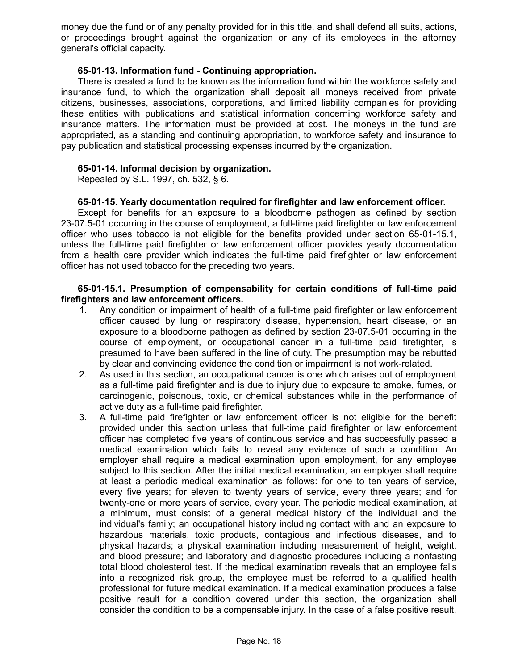money due the fund or of any penalty provided for in this title, and shall defend all suits, actions, or proceedings brought against the organization or any of its employees in the attorney general's official capacity.

### **65-01-13. Information fund - Continuing appropriation.**

There is created a fund to be known as the information fund within the workforce safety and insurance fund, to which the organization shall deposit all moneys received from private citizens, businesses, associations, corporations, and limited liability companies for providing these entities with publications and statistical information concerning workforce safety and insurance matters. The information must be provided at cost. The moneys in the fund are appropriated, as a standing and continuing appropriation, to workforce safety and insurance to pay publication and statistical processing expenses incurred by the organization.

### **65-01-14. Informal decision by organization.**

Repealed by S.L. 1997, ch. 532, § 6.

### **65-01-15. Yearly documentation required for firefighter and law enforcement officer.**

Except for benefits for an exposure to a bloodborne pathogen as defined by section 23-07.5-01 occurring in the course of employment, a full-time paid firefighter or law enforcement officer who uses tobacco is not eligible for the benefits provided under section 65-01-15.1, unless the full-time paid firefighter or law enforcement officer provides yearly documentation from a health care provider which indicates the full-time paid firefighter or law enforcement officer has not used tobacco for the preceding two years.

### **65-01-15.1. Presumption of compensability for certain conditions of full-time paid firefighters and law enforcement officers.**

- 1. Any condition or impairment of health of a full-time paid firefighter or law enforcement officer caused by lung or respiratory disease, hypertension, heart disease, or an exposure to a bloodborne pathogen as defined by section 23-07.5-01 occurring in the course of employment, or occupational cancer in a full-time paid firefighter, is presumed to have been suffered in the line of duty. The presumption may be rebutted by clear and convincing evidence the condition or impairment is not work-related.
- 2. As used in this section, an occupational cancer is one which arises out of employment as a full-time paid firefighter and is due to injury due to exposure to smoke, fumes, or carcinogenic, poisonous, toxic, or chemical substances while in the performance of active duty as a full-time paid firefighter.
- 3. A full-time paid firefighter or law enforcement officer is not eligible for the benefit provided under this section unless that full-time paid firefighter or law enforcement officer has completed five years of continuous service and has successfully passed a medical examination which fails to reveal any evidence of such a condition. An employer shall require a medical examination upon employment, for any employee subject to this section. After the initial medical examination, an employer shall require at least a periodic medical examination as follows: for one to ten years of service, every five years; for eleven to twenty years of service, every three years; and for twenty-one or more years of service, every year. The periodic medical examination, at a minimum, must consist of a general medical history of the individual and the individual's family; an occupational history including contact with and an exposure to hazardous materials, toxic products, contagious and infectious diseases, and to physical hazards; a physical examination including measurement of height, weight, and blood pressure; and laboratory and diagnostic procedures including a nonfasting total blood cholesterol test. If the medical examination reveals that an employee falls into a recognized risk group, the employee must be referred to a qualified health professional for future medical examination. If a medical examination produces a false positive result for a condition covered under this section, the organization shall consider the condition to be a compensable injury. In the case of a false positive result,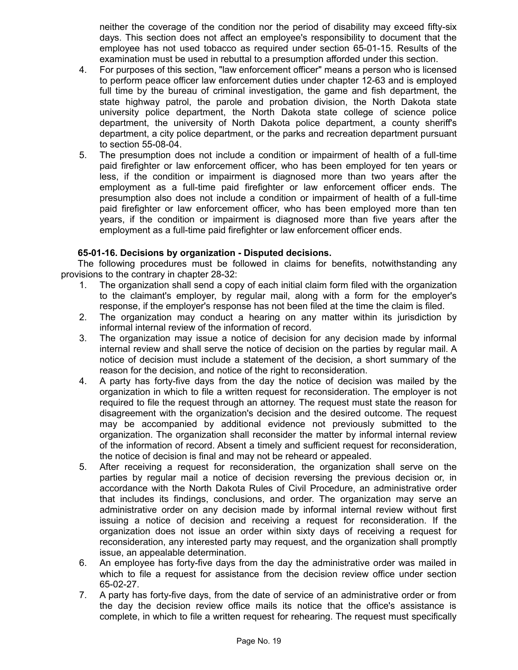neither the coverage of the condition nor the period of disability may exceed fifty-six days. This section does not affect an employee's responsibility to document that the employee has not used tobacco as required under section 65-01-15. Results of the examination must be used in rebuttal to a presumption afforded under this section.

- 4. For purposes of this section, "law enforcement officer" means a person who is licensed to perform peace officer law enforcement duties under chapter 12-63 and is employed full time by the bureau of criminal investigation, the game and fish department, the state highway patrol, the parole and probation division, the North Dakota state university police department, the North Dakota state college of science police department, the university of North Dakota police department, a county sheriff's department, a city police department, or the parks and recreation department pursuant to section 55-08-04.
- 5. The presumption does not include a condition or impairment of health of a full-time paid firefighter or law enforcement officer, who has been employed for ten years or less, if the condition or impairment is diagnosed more than two years after the employment as a full-time paid firefighter or law enforcement officer ends. The presumption also does not include a condition or impairment of health of a full-time paid firefighter or law enforcement officer, who has been employed more than ten years, if the condition or impairment is diagnosed more than five years after the employment as a full-time paid firefighter or law enforcement officer ends.

### **65-01-16. Decisions by organization - Disputed decisions.**

The following procedures must be followed in claims for benefits, notwithstanding any provisions to the contrary in chapter 28-32:

- 1. The organization shall send a copy of each initial claim form filed with the organization to the claimant's employer, by regular mail, along with a form for the employer's response, if the employer's response has not been filed at the time the claim is filed.
- 2. The organization may conduct a hearing on any matter within its jurisdiction by informal internal review of the information of record.
- 3. The organization may issue a notice of decision for any decision made by informal internal review and shall serve the notice of decision on the parties by regular mail. A notice of decision must include a statement of the decision, a short summary of the reason for the decision, and notice of the right to reconsideration.
- 4. A party has forty-five days from the day the notice of decision was mailed by the organization in which to file a written request for reconsideration. The employer is not required to file the request through an attorney. The request must state the reason for disagreement with the organization's decision and the desired outcome. The request may be accompanied by additional evidence not previously submitted to the organization. The organization shall reconsider the matter by informal internal review of the information of record. Absent a timely and sufficient request for reconsideration, the notice of decision is final and may not be reheard or appealed.
- 5. After receiving a request for reconsideration, the organization shall serve on the parties by regular mail a notice of decision reversing the previous decision or, in accordance with the North Dakota Rules of Civil Procedure, an administrative order that includes its findings, conclusions, and order. The organization may serve an administrative order on any decision made by informal internal review without first issuing a notice of decision and receiving a request for reconsideration. If the organization does not issue an order within sixty days of receiving a request for reconsideration, any interested party may request, and the organization shall promptly issue, an appealable determination.
- 6. An employee has forty-five days from the day the administrative order was mailed in which to file a request for assistance from the decision review office under section 65-02-27.
- 7. A party has forty-five days, from the date of service of an administrative order or from the day the decision review office mails its notice that the office's assistance is complete, in which to file a written request for rehearing. The request must specifically